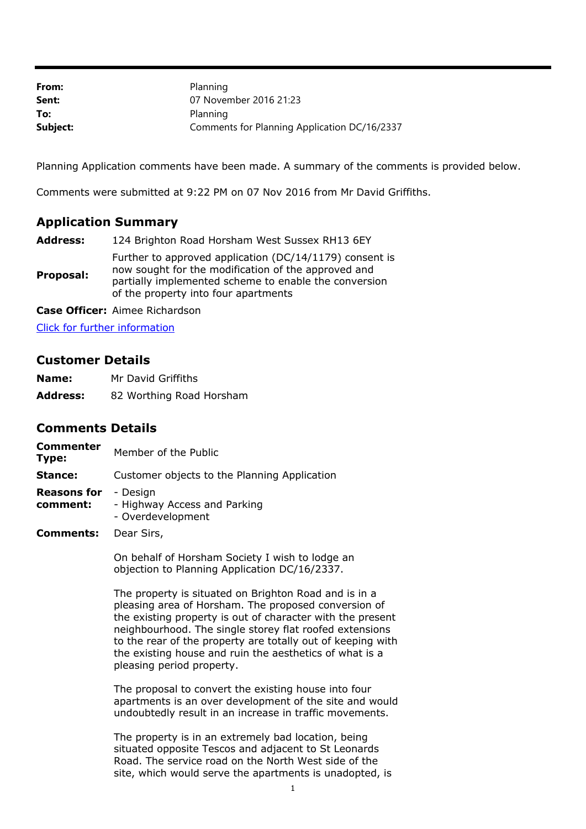| From:    | Planning                                     |
|----------|----------------------------------------------|
| Sent:    | 07 November 2016 21:23                       |
| To:      | Planning                                     |
| Subject: | Comments for Planning Application DC/16/2337 |

Planning Application comments have been made. A summary of the comments is provided below.

Comments were submitted at 9:22 PM on 07 Nov 2016 from Mr David Griffiths.

## **Application Summary**

| <b>Address:</b> | 124 Brighton Road Horsham West Sussex RH13 6EY                                                                                                                                                                  |  |
|-----------------|-----------------------------------------------------------------------------------------------------------------------------------------------------------------------------------------------------------------|--|
| Proposal:       | Further to approved application (DC/14/1179) consent is<br>now sought for the modification of the approved and<br>partially implemented scheme to enable the conversion<br>of the property into four apartments |  |

**Case Officer:** Aimee Richardson

[Click for further information](https://public-access.horsham.gov.uk/public-access//centralDistribution.do?caseType=Application&keyVal=OF1ANBIJMEE00)

## **Customer Details**

| Name:           | Mr David Griffiths       |
|-----------------|--------------------------|
| <b>Address:</b> | 82 Worthing Road Horsham |

## **Comments Details**

| Customer objects to the Planning Application |
|----------------------------------------------|
|                                              |
|                                              |
|                                              |

On behalf of Horsham Society I wish to lodge an objection to Planning Application DC/16/2337.

The property is situated on Brighton Road and is in a pleasing area of Horsham. The proposed conversion of the existing property is out of character with the present neighbourhood. The single storey flat roofed extensions to the rear of the property are totally out of keeping with the existing house and ruin the aesthetics of what is a pleasing period property.

The proposal to convert the existing house into four apartments is an over development of the site and would undoubtedly result in an increase in traffic movements.

The property is in an extremely bad location, being situated opposite Tescos and adjacent to St Leonards Road. The service road on the North West side of the site, which would serve the apartments is unadopted, is